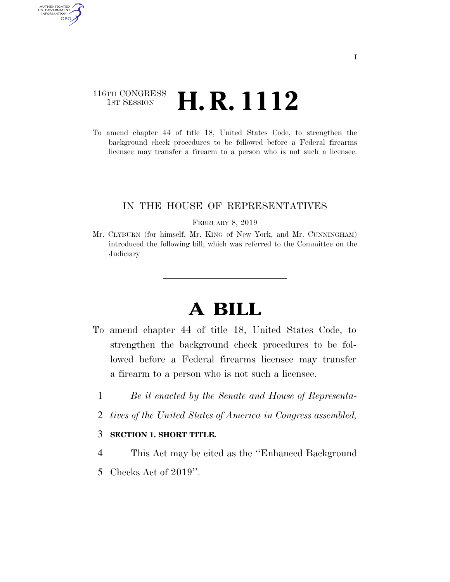# 116TH CONGRESS  $\frac{1}{15T}$  Session **H. R. 1112**

AUTHENTICATED<br>U.S. GOVERNMENT<br>INFORMATION **GPO** 

> To amend chapter 44 of title 18, United States Code, to strengthen the background check procedures to be followed before a Federal firearms licensee may transfer a firearm to a person who is not such a licensee.

## IN THE HOUSE OF REPRESENTATIVES

#### FEBRUARY 8, 2019

Mr. CLYBURN (for himself, Mr. KING of New York, and Mr. CUNNINGHAM) introduced the following bill; which was referred to the Committee on the **Judiciary** 

# **A BILL**

- To amend chapter 44 of title 18, United States Code, to strengthen the background check procedures to be followed before a Federal firearms licensee may transfer a firearm to a person who is not such a licensee.
	- 1 *Be it enacted by the Senate and House of Representa-*
	- 2 *tives of the United States of America in Congress assembled,*

### 3 **SECTION 1. SHORT TITLE.**

- 4 This Act may be cited as the ''Enhanced Background
- 5 Checks Act of 2019''.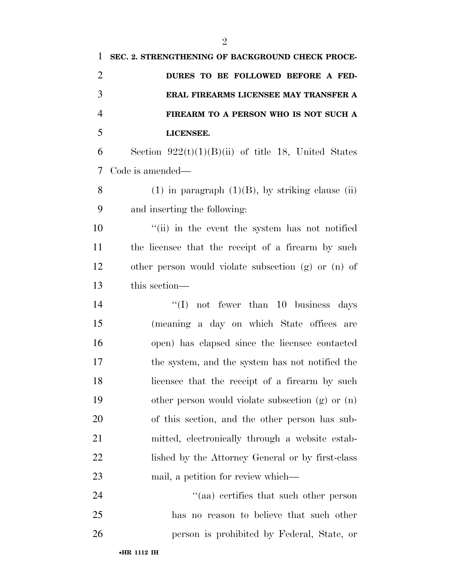| 1              | SEC. 2. STRENGTHENING OF BACKGROUND CHECK PROCE-      |
|----------------|-------------------------------------------------------|
| $\overline{2}$ | DURES TO BE FOLLOWED BEFORE A FED-                    |
| 3              | ERAL FIREARMS LICENSEE MAY TRANSFER A                 |
| $\overline{4}$ | FIREARM TO A PERSON WHO IS NOT SUCH A                 |
| 5              | LICENSEE.                                             |
| 6              | Section $922(t)(1)(B)(ii)$ of title 18, United States |
| 7              | Code is amended—                                      |
| 8              | $(1)$ in paragraph $(1)(B)$ , by striking clause (ii) |
| 9              | and inserting the following:                          |
| 10             | "(ii) in the event the system has not notified        |
| 11             | the licensee that the receipt of a firearm by such    |
| 12             | other person would violate subsection (g) or (n) of   |
| 13             | this section—                                         |
| 14             | "(I) not fewer than 10 business days                  |
| 15             | (meaning a day on which State offices are             |
| 16             | open) has elapsed since the licensee contacted        |
| 17             | the system, and the system has not notified the       |
| 18             | licensee that the receipt of a firearm by such        |
| 19             | other person would violate subsection (g) or (n)      |
| 20             | of this section, and the other person has sub-        |
| 21             | mitted, electronically through a website estab-       |
| 22             | lished by the Attorney General or by first-class      |
| 23             | mail, a petition for review which—                    |
| 24             | "(aa) certifies that such other person                |
| 25             | has no reason to believe that such other              |
| 26             | person is prohibited by Federal, State, or            |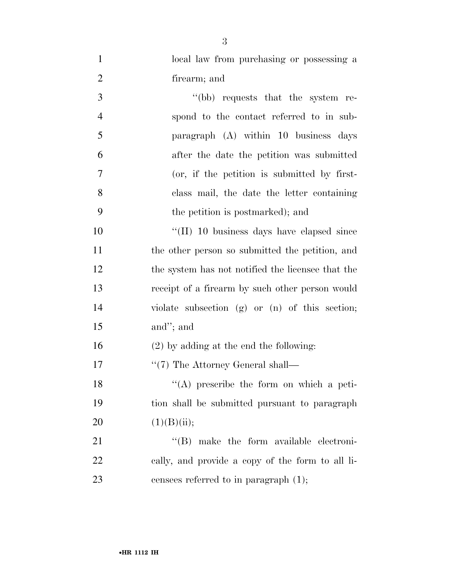| $\mathbf{1}$   | local law from purchasing or possessing a          |
|----------------|----------------------------------------------------|
| $\overline{2}$ | firearm; and                                       |
| 3              | "(bb) requests that the system re-                 |
| $\overline{4}$ | spond to the contact referred to in sub-           |
| 5              | paragraph (A) within 10 business days              |
| 6              | after the date the petition was submitted          |
| $\overline{7}$ | (or, if the petition is submitted by first-        |
| 8              | class mail, the date the letter containing         |
| 9              | the petition is postmarked); and                   |
| 10             | "(II) 10 business days have elapsed since          |
| 11             | the other person so submitted the petition, and    |
| 12             | the system has not notified the licensee that the  |
| 13             | receipt of a firearm by such other person would    |
| 14             | violate subsection $(g)$ or $(n)$ of this section; |
| 15             | and"; and                                          |
| 16             | $(2)$ by adding at the end the following:          |
| 17             | $\lq(7)$ The Attorney General shall—               |
| 18             | $(4)$ prescribe the form on which a peti-          |
| 19             | tion shall be submitted pursuant to paragraph      |
| 20             | (1)(B)(ii);                                        |
| 21             | "(B) make the form available electroni-            |
| 22             | cally, and provide a copy of the form to all li-   |
| 23             | censees referred to in paragraph $(1)$ ;           |